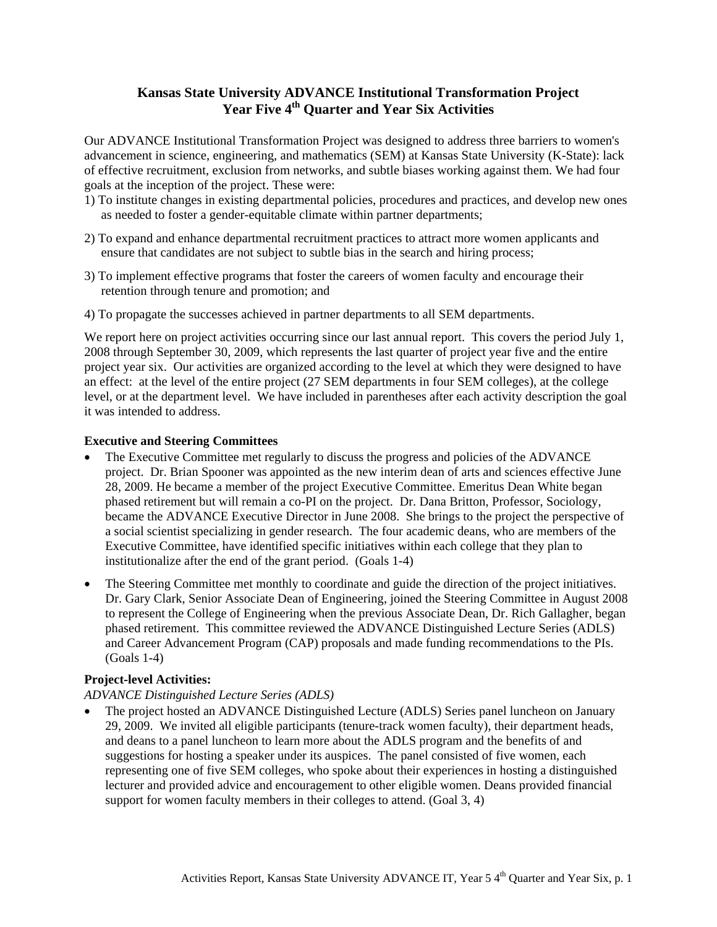# **Kansas State University ADVANCE Institutional Transformation Project Year Five 4th Quarter and Year Six Activities**

Our ADVANCE Institutional Transformation Project was designed to address three barriers to women's advancement in science, engineering, and mathematics (SEM) at Kansas State University (K-State): lack of effective recruitment, exclusion from networks, and subtle biases working against them. We had four goals at the inception of the project. These were:

- 1) To institute changes in existing departmental policies, procedures and practices, and develop new ones as needed to foster a gender-equitable climate within partner departments;
- 2) To expand and enhance departmental recruitment practices to attract more women applicants and ensure that candidates are not subject to subtle bias in the search and hiring process;
- 3) To implement effective programs that foster the careers of women faculty and encourage their retention through tenure and promotion; and
- 4) To propagate the successes achieved in partner departments to all SEM departments.

We report here on project activities occurring since our last annual report. This covers the period July 1, 2008 through September 30, 2009, which represents the last quarter of project year five and the entire project year six. Our activities are organized according to the level at which they were designed to have an effect: at the level of the entire project (27 SEM departments in four SEM colleges), at the college level, or at the department level. We have included in parentheses after each activity description the goal it was intended to address.

#### **Executive and Steering Committees**

- The Executive Committee met regularly to discuss the progress and policies of the ADVANCE project. Dr. Brian Spooner was appointed as the new interim dean of arts and sciences effective June 28, 2009. He became a member of the project Executive Committee. Emeritus Dean White began phased retirement but will remain a co-PI on the project. Dr. Dana Britton, Professor, Sociology, became the ADVANCE Executive Director in June 2008. She brings to the project the perspective of a social scientist specializing in gender research. The four academic deans, who are members of the Executive Committee, have identified specific initiatives within each college that they plan to institutionalize after the end of the grant period. (Goals 1-4)
- The Steering Committee met monthly to coordinate and guide the direction of the project initiatives. Dr. Gary Clark, Senior Associate Dean of Engineering, joined the Steering Committee in August 2008 to represent the College of Engineering when the previous Associate Dean, Dr. Rich Gallagher, began phased retirement. This committee reviewed the ADVANCE Distinguished Lecture Series (ADLS) and Career Advancement Program (CAP) proposals and made funding recommendations to the PIs. (Goals 1-4)

## **Project-level Activities:**

## *ADVANCE Distinguished Lecture Series (ADLS)*

• The project hosted an ADVANCE Distinguished Lecture (ADLS) Series panel luncheon on January 29, 2009. We invited all eligible participants (tenure-track women faculty), their department heads, and deans to a panel luncheon to learn more about the ADLS program and the benefits of and suggestions for hosting a speaker under its auspices. The panel consisted of five women, each representing one of five SEM colleges, who spoke about their experiences in hosting a distinguished lecturer and provided advice and encouragement to other eligible women. Deans provided financial support for women faculty members in their colleges to attend. (Goal 3, 4)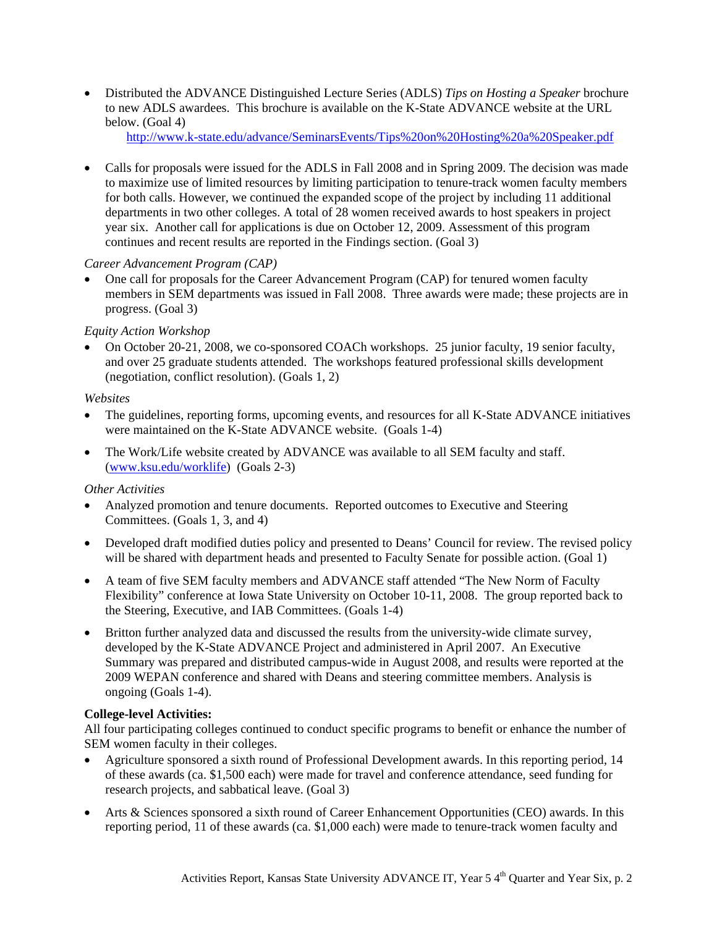x Distributed the ADVANCE Distinguished Lecture Series (ADLS) *Tips on Hosting a Speaker* brochure to new ADLS awardees. This brochure is available on the K-State ADVANCE website at the URL below. (Goal 4)

http://www.k-state.edu/advance/SeminarsEvents/Tips%20on%20Hosting%20a%20Speaker.pdf

• Calls for proposals were issued for the ADLS in Fall 2008 and in Spring 2009. The decision was made to maximize use of limited resources by limiting participation to tenure-track women faculty members for both calls. However, we continued the expanded scope of the project by including 11 additional departments in two other colleges. A total of 28 women received awards to host speakers in project year six. Another call for applications is due on October 12, 2009. Assessment of this program continues and recent results are reported in the Findings section. (Goal 3)

# *Career Advancement Program (CAP)*

• One call for proposals for the Career Advancement Program (CAP) for tenured women faculty members in SEM departments was issued in Fall 2008. Three awards were made; these projects are in progress. (Goal 3)

# *Equity Action Workshop*

• On October 20-21, 2008, we co-sponsored COACh workshops. 25 junior faculty, 19 senior faculty, and over 25 graduate students attended. The workshops featured professional skills development (negotiation, conflict resolution). (Goals 1, 2)

# *Websites*

- The guidelines, reporting forms, upcoming events, and resources for all K-State ADVANCE initiatives were maintained on the K-State ADVANCE website. (Goals 1-4)
- The Work/Life website created by ADVANCE was available to all SEM faculty and staff. (www.ksu.edu/worklife) (Goals 2-3)

# *Other Activities*

- Analyzed promotion and tenure documents. Reported outcomes to Executive and Steering Committees. (Goals 1, 3, and 4)
- Developed draft modified duties policy and presented to Deans' Council for review. The revised policy will be shared with department heads and presented to Faculty Senate for possible action. (Goal 1)
- A team of five SEM faculty members and ADVANCE staff attended "The New Norm of Faculty Flexibility" conference at Iowa State University on October 10-11, 2008. The group reported back to the Steering, Executive, and IAB Committees. (Goals 1-4)
- Britton further analyzed data and discussed the results from the university-wide climate survey, developed by the K-State ADVANCE Project and administered in April 2007. An Executive Summary was prepared and distributed campus-wide in August 2008, and results were reported at the 2009 WEPAN conference and shared with Deans and steering committee members. Analysis is ongoing (Goals 1-4).

# **College-level Activities:**

All four participating colleges continued to conduct specific programs to benefit or enhance the number of SEM women faculty in their colleges.

- Agriculture sponsored a sixth round of Professional Development awards. In this reporting period, 14 of these awards (ca. \$1,500 each) were made for travel and conference attendance, seed funding for research projects, and sabbatical leave. (Goal 3)
- Arts & Sciences sponsored a sixth round of Career Enhancement Opportunities (CEO) awards. In this reporting period, 11 of these awards (ca. \$1,000 each) were made to tenure-track women faculty and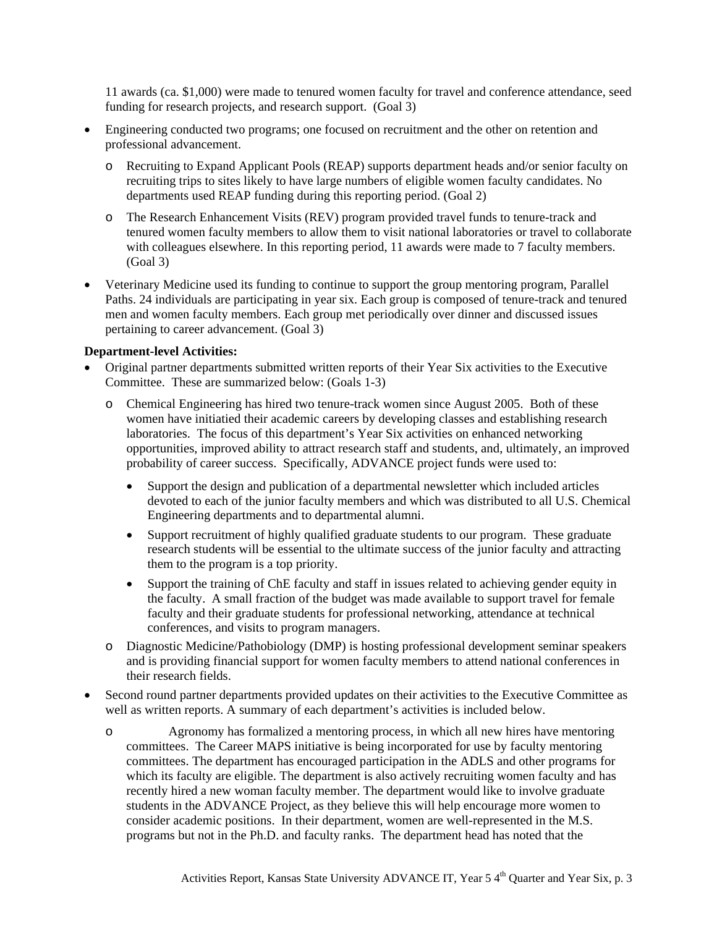11 awards (ca. \$1,000) were made to tenured women faculty for travel and conference attendance, seed funding for research projects, and research support. (Goal 3)

- Engineering conducted two programs; one focused on recruitment and the other on retention and professional advancement.
	- o Recruiting to Expand Applicant Pools (REAP) supports department heads and/or senior faculty on recruiting trips to sites likely to have large numbers of eligible women faculty candidates. No departments used REAP funding during this reporting period. (Goal 2)
	- o The Research Enhancement Visits (REV) program provided travel funds to tenure-track and tenured women faculty members to allow them to visit national laboratories or travel to collaborate with colleagues elsewhere. In this reporting period, 11 awards were made to 7 faculty members. (Goal 3)
- Veterinary Medicine used its funding to continue to support the group mentoring program, Parallel Paths. 24 individuals are participating in year six. Each group is composed of tenure-track and tenured men and women faculty members. Each group met periodically over dinner and discussed issues pertaining to career advancement. (Goal 3)

#### **Department-level Activities:**

- Original partner departments submitted written reports of their Year Six activities to the Executive Committee. These are summarized below: (Goals 1-3)
	- o Chemical Engineering has hired two tenure-track women since August 2005. Both of these women have initiatied their academic careers by developing classes and establishing research laboratories. The focus of this department's Year Six activities on enhanced networking opportunities, improved ability to attract research staff and students, and, ultimately, an improved probability of career success. Specifically, ADVANCE project funds were used to:
		- Support the design and publication of a departmental newsletter which included articles devoted to each of the junior faculty members and which was distributed to all U.S. Chemical Engineering departments and to departmental alumni.
		- Support recruitment of highly qualified graduate students to our program. These graduate research students will be essential to the ultimate success of the junior faculty and attracting them to the program is a top priority.
		- Support the training of ChE faculty and staff in issues related to achieving gender equity in the faculty. A small fraction of the budget was made available to support travel for female faculty and their graduate students for professional networking, attendance at technical conferences, and visits to program managers.
	- o Diagnostic Medicine/Pathobiology (DMP) is hosting professional development seminar speakers and is providing financial support for women faculty members to attend national conferences in their research fields.
- Second round partner departments provided updates on their activities to the Executive Committee as well as written reports. A summary of each department's activities is included below.
	- o Agronomy has formalized a mentoring process, in which all new hires have mentoring committees. The Career MAPS initiative is being incorporated for use by faculty mentoring committees. The department has encouraged participation in the ADLS and other programs for which its faculty are eligible. The department is also actively recruiting women faculty and has recently hired a new woman faculty member. The department would like to involve graduate students in the ADVANCE Project, as they believe this will help encourage more women to consider academic positions. In their department, women are well-represented in the M.S. programs but not in the Ph.D. and faculty ranks. The department head has noted that the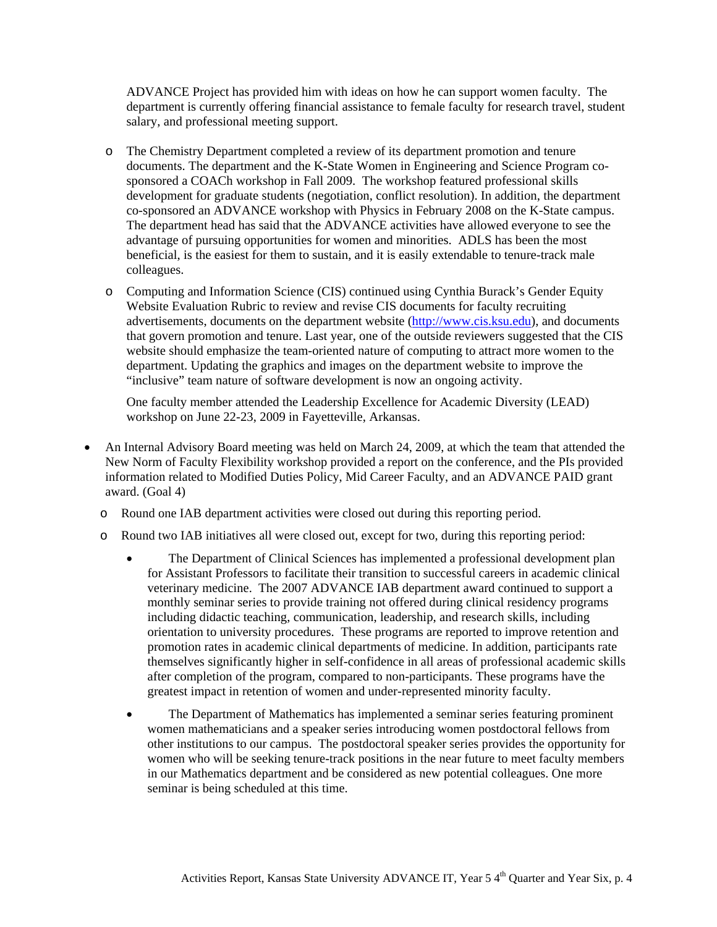ADVANCE Project has provided him with ideas on how he can support women faculty. The department is currently offering financial assistance to female faculty for research travel, student salary, and professional meeting support.

- o The Chemistry Department completed a review of its department promotion and tenure documents. The department and the K-State Women in Engineering and Science Program cosponsored a COACh workshop in Fall 2009. The workshop featured professional skills development for graduate students (negotiation, conflict resolution). In addition, the department co-sponsored an ADVANCE workshop with Physics in February 2008 on the K-State campus. The department head has said that the ADVANCE activities have allowed everyone to see the advantage of pursuing opportunities for women and minorities. ADLS has been the most beneficial, is the easiest for them to sustain, and it is easily extendable to tenure-track male colleagues.
- o Computing and Information Science (CIS) continued using Cynthia Burack's Gender Equity Website Evaluation Rubric to review and revise CIS documents for faculty recruiting advertisements, documents on the department website (http://www.cis.ksu.edu), and documents that govern promotion and tenure. Last year, one of the outside reviewers suggested that the CIS website should emphasize the team-oriented nature of computing to attract more women to the department. Updating the graphics and images on the department website to improve the "inclusive" team nature of software development is now an ongoing activity.

One faculty member attended the Leadership Excellence for Academic Diversity (LEAD) workshop on June 22-23, 2009 in Fayetteville, Arkansas.

- An Internal Advisory Board meeting was held on March 24, 2009, at which the team that attended the New Norm of Faculty Flexibility workshop provided a report on the conference, and the PIs provided information related to Modified Duties Policy, Mid Career Faculty, and an ADVANCE PAID grant award. (Goal 4)
	- o Round one IAB department activities were closed out during this reporting period.
	- o Round two IAB initiatives all were closed out, except for two, during this reporting period:
		- The Department of Clinical Sciences has implemented a professional development plan for Assistant Professors to facilitate their transition to successful careers in academic clinical veterinary medicine. The 2007 ADVANCE IAB department award continued to support a monthly seminar series to provide training not offered during clinical residency programs including didactic teaching, communication, leadership, and research skills, including orientation to university procedures. These programs are reported to improve retention and promotion rates in academic clinical departments of medicine. In addition, participants rate themselves significantly higher in self-confidence in all areas of professional academic skills after completion of the program, compared to non-participants. These programs have the greatest impact in retention of women and under-represented minority faculty.
		- The Department of Mathematics has implemented a seminar series featuring prominent women mathematicians and a speaker series introducing women postdoctoral fellows from other institutions to our campus. The postdoctoral speaker series provides the opportunity for women who will be seeking tenure-track positions in the near future to meet faculty members in our Mathematics department and be considered as new potential colleagues. One more seminar is being scheduled at this time.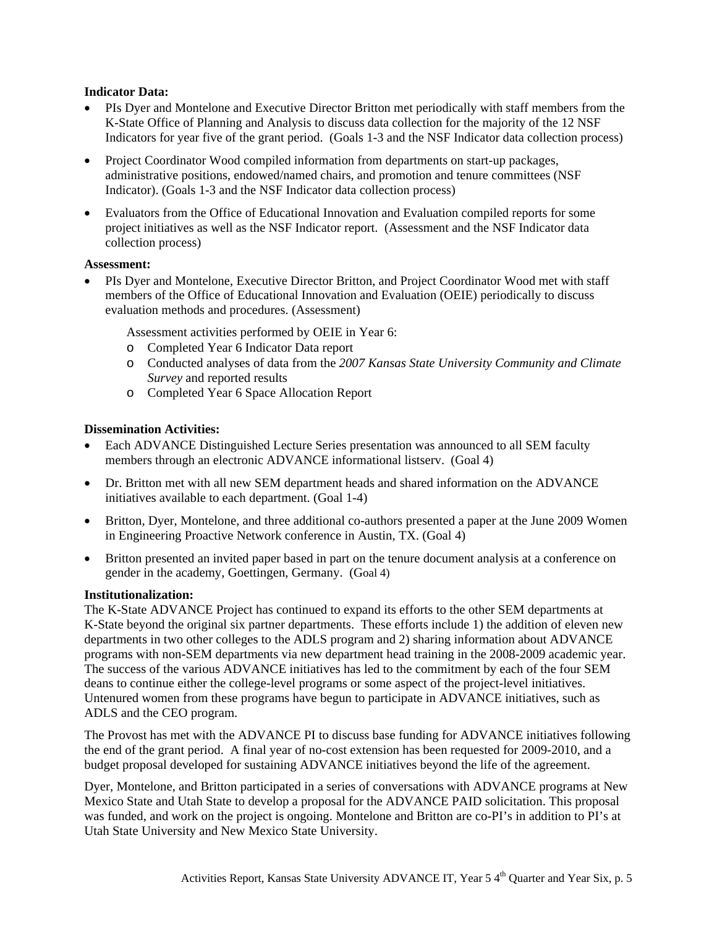## **Indicator Data:**

- x PIs Dyer and Montelone and Executive Director Britton met periodically with staff members from the K-State Office of Planning and Analysis to discuss data collection for the majority of the 12 NSF Indicators for year five of the grant period. (Goals 1-3 and the NSF Indicator data collection process)
- Project Coordinator Wood compiled information from departments on start-up packages, administrative positions, endowed/named chairs, and promotion and tenure committees (NSF Indicator). (Goals 1-3 and the NSF Indicator data collection process)
- Evaluators from the Office of Educational Innovation and Evaluation compiled reports for some project initiatives as well as the NSF Indicator report. (Assessment and the NSF Indicator data collection process)

#### **Assessment:**

x PIs Dyer and Montelone, Executive Director Britton, and Project Coordinator Wood met with staff members of the Office of Educational Innovation and Evaluation (OEIE) periodically to discuss evaluation methods and procedures. (Assessment)

Assessment activities performed by OEIE in Year 6:

- o Completed Year 6 Indicator Data report
- o Conducted analyses of data from the *2007 Kansas State University Community and Climate Survey* and reported results
- o Completed Year 6 Space Allocation Report

#### **Dissemination Activities:**

- Each ADVANCE Distinguished Lecture Series presentation was announced to all SEM faculty members through an electronic ADVANCE informational listserv. (Goal 4)
- Dr. Britton met with all new SEM department heads and shared information on the ADVANCE initiatives available to each department. (Goal 1-4)
- Britton, Dyer, Montelone, and three additional co-authors presented a paper at the June 2009 Women in Engineering Proactive Network conference in Austin, TX. (Goal 4)
- Britton presented an invited paper based in part on the tenure document analysis at a conference on gender in the academy, Goettingen, Germany. (Goal 4)

#### **Institutionalization:**

The K-State ADVANCE Project has continued to expand its efforts to the other SEM departments at K-State beyond the original six partner departments. These efforts include 1) the addition of eleven new departments in two other colleges to the ADLS program and 2) sharing information about ADVANCE programs with non-SEM departments via new department head training in the 2008-2009 academic year. The success of the various ADVANCE initiatives has led to the commitment by each of the four SEM deans to continue either the college-level programs or some aspect of the project-level initiatives. Untenured women from these programs have begun to participate in ADVANCE initiatives, such as ADLS and the CEO program.

The Provost has met with the ADVANCE PI to discuss base funding for ADVANCE initiatives following the end of the grant period. A final year of no-cost extension has been requested for 2009-2010, and a budget proposal developed for sustaining ADVANCE initiatives beyond the life of the agreement.

Dyer, Montelone, and Britton participated in a series of conversations with ADVANCE programs at New Mexico State and Utah State to develop a proposal for the ADVANCE PAID solicitation. This proposal was funded, and work on the project is ongoing. Montelone and Britton are co-PI's in addition to PI's at Utah State University and New Mexico State University.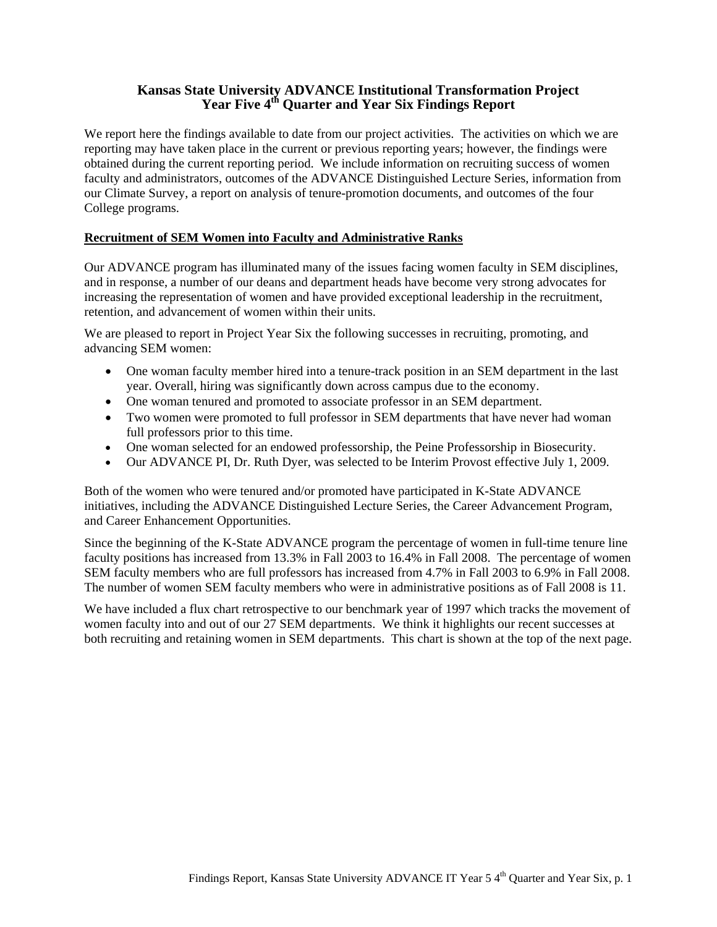# **Kansas State University ADVANCE Institutional Transformation Project**  Year Five 4<sup>th</sup> Quarter and Year Six Findings Report

We report here the findings available to date from our project activities. The activities on which we are reporting may have taken place in the current or previous reporting years; however, the findings were obtained during the current reporting period. We include information on recruiting success of women faculty and administrators, outcomes of the ADVANCE Distinguished Lecture Series, information from our Climate Survey, a report on analysis of tenure-promotion documents, and outcomes of the four College programs.

## **Recruitment of SEM Women into Faculty and Administrative Ranks**

Our ADVANCE program has illuminated many of the issues facing women faculty in SEM disciplines, and in response, a number of our deans and department heads have become very strong advocates for increasing the representation of women and have provided exceptional leadership in the recruitment, retention, and advancement of women within their units.

We are pleased to report in Project Year Six the following successes in recruiting, promoting, and advancing SEM women:

- One woman faculty member hired into a tenure-track position in an SEM department in the last year. Overall, hiring was significantly down across campus due to the economy.
- One woman tenured and promoted to associate professor in an SEM department.
- Two women were promoted to full professor in SEM departments that have never had woman full professors prior to this time.
- One woman selected for an endowed professorship, the Peine Professorship in Biosecurity.
- Our ADVANCE PI, Dr. Ruth Dyer, was selected to be Interim Provost effective July 1, 2009.

Both of the women who were tenured and/or promoted have participated in K-State ADVANCE initiatives, including the ADVANCE Distinguished Lecture Series, the Career Advancement Program, and Career Enhancement Opportunities.

Since the beginning of the K-State ADVANCE program the percentage of women in full-time tenure line faculty positions has increased from 13.3% in Fall 2003 to 16.4% in Fall 2008. The percentage of women SEM faculty members who are full professors has increased from 4.7% in Fall 2003 to 6.9% in Fall 2008. The number of women SEM faculty members who were in administrative positions as of Fall 2008 is 11.

We have included a flux chart retrospective to our benchmark year of 1997 which tracks the movement of women faculty into and out of our 27 SEM departments. We think it highlights our recent successes at both recruiting and retaining women in SEM departments. This chart is shown at the top of the next page.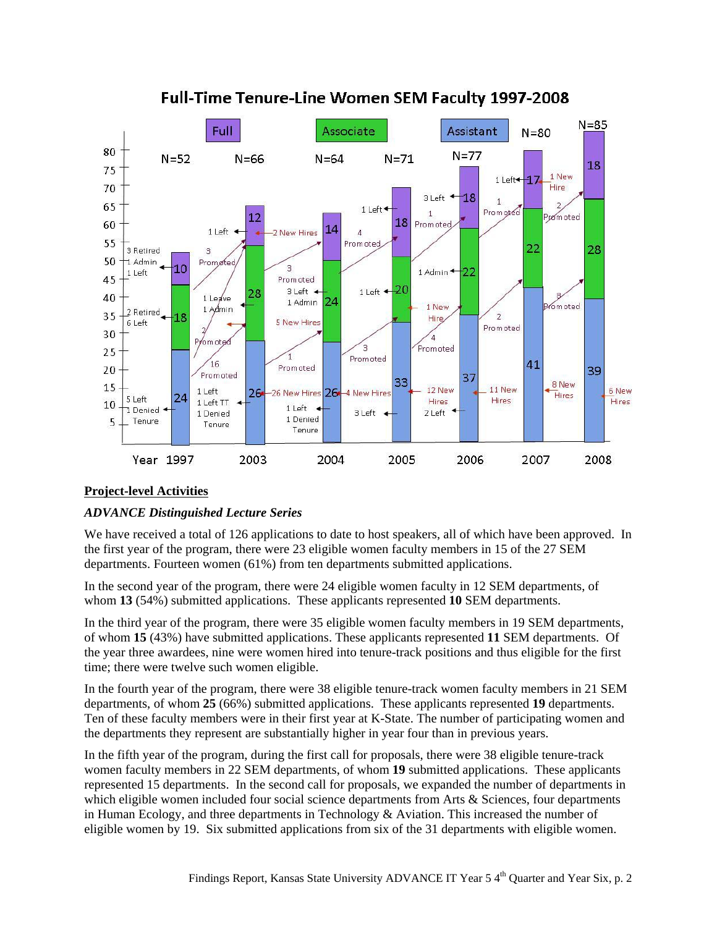

# **Full-Time Tenure-Line Women SEM Faculty 1997-2008**

# **Project-level Activities**

# *ADVANCE Distinguished Lecture Series*

We have received a total of 126 applications to date to host speakers, all of which have been approved. In the first year of the program, there were 23 eligible women faculty members in 15 of the 27 SEM departments. Fourteen women (61%) from ten departments submitted applications.

In the second year of the program, there were 24 eligible women faculty in 12 SEM departments, of whom **13** (54%) submitted applications. These applicants represented **10** SEM departments.

In the third year of the program, there were 35 eligible women faculty members in 19 SEM departments, of whom **15** (43%) have submitted applications. These applicants represented **11** SEM departments. Of the year three awardees, nine were women hired into tenure-track positions and thus eligible for the first time; there were twelve such women eligible.

In the fourth year of the program, there were 38 eligible tenure-track women faculty members in 21 SEM departments, of whom **25** (66%) submitted applications. These applicants represented **19** departments. Ten of these faculty members were in their first year at K-State. The number of participating women and the departments they represent are substantially higher in year four than in previous years.

In the fifth year of the program, during the first call for proposals, there were 38 eligible tenure-track women faculty members in 22 SEM departments, of whom **19** submitted applications. These applicants represented 15 departments. In the second call for proposals, we expanded the number of departments in which eligible women included four social science departments from Arts & Sciences, four departments in Human Ecology, and three departments in Technology  $\&$  Aviation. This increased the number of eligible women by 19. Six submitted applications from six of the 31 departments with eligible women.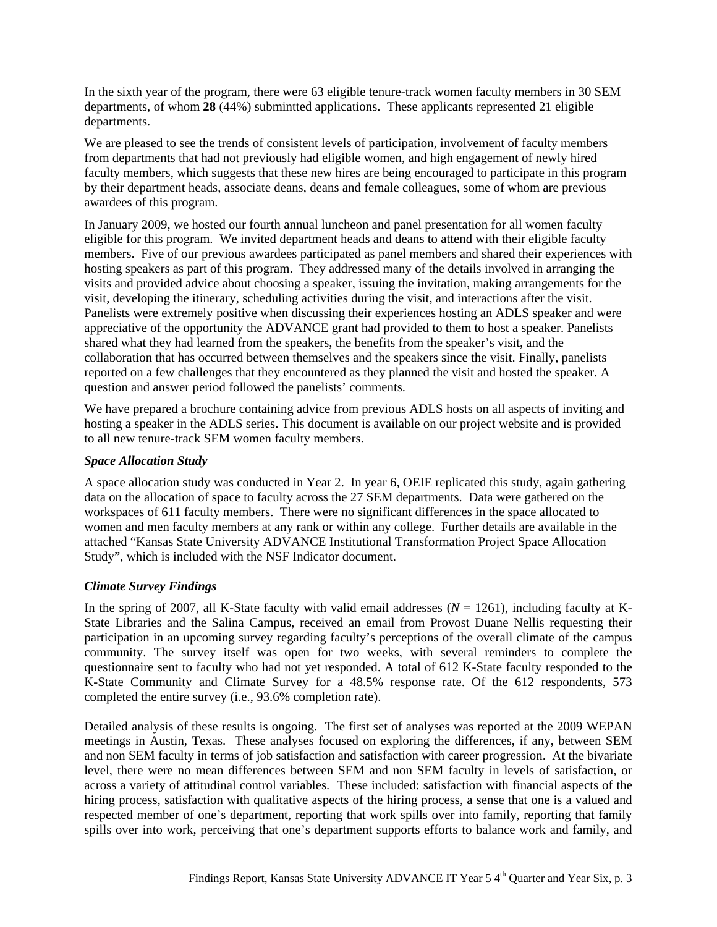In the sixth year of the program, there were 63 eligible tenure-track women faculty members in 30 SEM departments, of whom **28** (44%) submintted applications. These applicants represented 21 eligible departments.

We are pleased to see the trends of consistent levels of participation, involvement of faculty members from departments that had not previously had eligible women, and high engagement of newly hired faculty members, which suggests that these new hires are being encouraged to participate in this program by their department heads, associate deans, deans and female colleagues, some of whom are previous awardees of this program.

In January 2009, we hosted our fourth annual luncheon and panel presentation for all women faculty eligible for this program. We invited department heads and deans to attend with their eligible faculty members. Five of our previous awardees participated as panel members and shared their experiences with hosting speakers as part of this program. They addressed many of the details involved in arranging the visits and provided advice about choosing a speaker, issuing the invitation, making arrangements for the visit, developing the itinerary, scheduling activities during the visit, and interactions after the visit. Panelists were extremely positive when discussing their experiences hosting an ADLS speaker and were appreciative of the opportunity the ADVANCE grant had provided to them to host a speaker. Panelists shared what they had learned from the speakers, the benefits from the speaker's visit, and the collaboration that has occurred between themselves and the speakers since the visit. Finally, panelists reported on a few challenges that they encountered as they planned the visit and hosted the speaker. A question and answer period followed the panelists' comments.

We have prepared a brochure containing advice from previous ADLS hosts on all aspects of inviting and hosting a speaker in the ADLS series. This document is available on our project website and is provided to all new tenure-track SEM women faculty members.

## *Space Allocation Study*

A space allocation study was conducted in Year 2. In year 6, OEIE replicated this study, again gathering data on the allocation of space to faculty across the 27 SEM departments. Data were gathered on the workspaces of 611 faculty members. There were no significant differences in the space allocated to women and men faculty members at any rank or within any college. Further details are available in the attached "Kansas State University ADVANCE Institutional Transformation Project Space Allocation Study", which is included with the NSF Indicator document.

# *Climate Survey Findings*

In the spring of 2007, all K-State faculty with valid email addresses  $(N = 1261)$ , including faculty at K-State Libraries and the Salina Campus, received an email from Provost Duane Nellis requesting their participation in an upcoming survey regarding faculty's perceptions of the overall climate of the campus community. The survey itself was open for two weeks, with several reminders to complete the questionnaire sent to faculty who had not yet responded. A total of 612 K-State faculty responded to the K-State Community and Climate Survey for a 48.5% response rate. Of the 612 respondents, 573 completed the entire survey (i.e., 93.6% completion rate).

Detailed analysis of these results is ongoing. The first set of analyses was reported at the 2009 WEPAN meetings in Austin, Texas. These analyses focused on exploring the differences, if any, between SEM and non SEM faculty in terms of job satisfaction and satisfaction with career progression. At the bivariate level, there were no mean differences between SEM and non SEM faculty in levels of satisfaction, or across a variety of attitudinal control variables. These included: satisfaction with financial aspects of the hiring process, satisfaction with qualitative aspects of the hiring process, a sense that one is a valued and respected member of one's department, reporting that work spills over into family, reporting that family spills over into work, perceiving that one's department supports efforts to balance work and family, and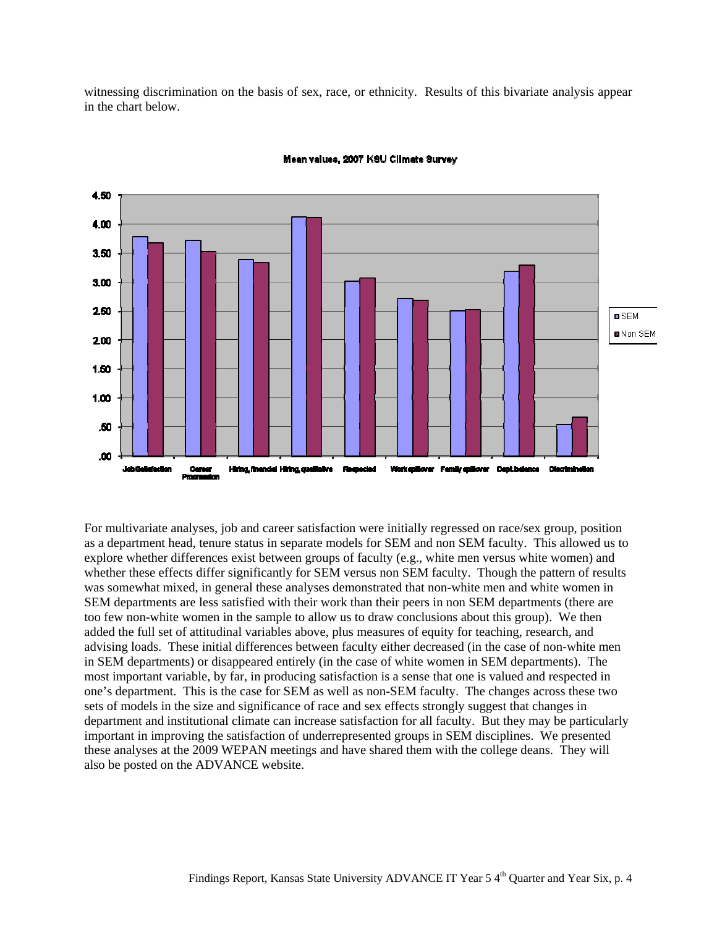witnessing discrimination on the basis of sex, race, or ethnicity. Results of this bivariate analysis appear in the chart below.



For multivariate analyses, job and career satisfaction were initially regressed on race/sex group, position as a department head, tenure status in separate models for SEM and non SEM faculty. This allowed us to explore whether differences exist between groups of faculty (e.g., white men versus white women) and whether these effects differ significantly for SEM versus non SEM faculty. Though the pattern of results was somewhat mixed, in general these analyses demonstrated that non-white men and white women in SEM departments are less satisfied with their work than their peers in non SEM departments (there are too few non-white women in the sample to allow us to draw conclusions about this group). We then added the full set of attitudinal variables above, plus measures of equity for teaching, research, and advising loads. These initial differences between faculty either decreased (in the case of non-white men in SEM departments) or disappeared entirely (in the case of white women in SEM departments). The most important variable, by far, in producing satisfaction is a sense that one is valued and respected in one's department. This is the case for SEM as well as non-SEM faculty. The changes across these two sets of models in the size and significance of race and sex effects strongly suggest that changes in department and institutional climate can increase satisfaction for all faculty. But they may be particularly important in improving the satisfaction of underrepresented groups in SEM disciplines. We presented these analyses at the 2009 WEPAN meetings and have shared them with the college deans. They will also be posted on the ADVANCE website.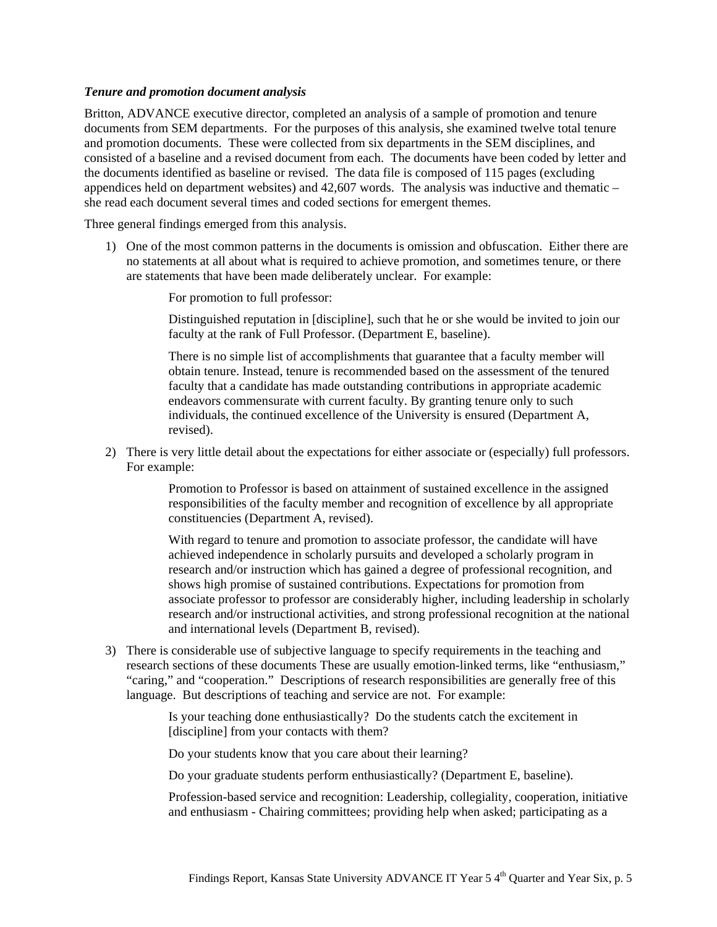#### *Tenure and promotion document analysis*

Britton, ADVANCE executive director, completed an analysis of a sample of promotion and tenure documents from SEM departments. For the purposes of this analysis, she examined twelve total tenure and promotion documents. These were collected from six departments in the SEM disciplines, and consisted of a baseline and a revised document from each. The documents have been coded by letter and the documents identified as baseline or revised. The data file is composed of 115 pages (excluding appendices held on department websites) and 42,607 words. The analysis was inductive and thematic – she read each document several times and coded sections for emergent themes.

Three general findings emerged from this analysis.

1) One of the most common patterns in the documents is omission and obfuscation. Either there are no statements at all about what is required to achieve promotion, and sometimes tenure, or there are statements that have been made deliberately unclear. For example:

For promotion to full professor:

Distinguished reputation in [discipline], such that he or she would be invited to join our faculty at the rank of Full Professor. (Department E, baseline).

There is no simple list of accomplishments that guarantee that a faculty member will obtain tenure. Instead, tenure is recommended based on the assessment of the tenured faculty that a candidate has made outstanding contributions in appropriate academic endeavors commensurate with current faculty. By granting tenure only to such individuals, the continued excellence of the University is ensured (Department A, revised).

2) There is very little detail about the expectations for either associate or (especially) full professors. For example:

> Promotion to Professor is based on attainment of sustained excellence in the assigned responsibilities of the faculty member and recognition of excellence by all appropriate constituencies (Department A, revised).

With regard to tenure and promotion to associate professor, the candidate will have achieved independence in scholarly pursuits and developed a scholarly program in research and/or instruction which has gained a degree of professional recognition, and shows high promise of sustained contributions. Expectations for promotion from associate professor to professor are considerably higher, including leadership in scholarly research and/or instructional activities, and strong professional recognition at the national and international levels (Department B, revised).

3) There is considerable use of subjective language to specify requirements in the teaching and research sections of these documents These are usually emotion-linked terms, like "enthusiasm," "caring," and "cooperation." Descriptions of research responsibilities are generally free of this language. But descriptions of teaching and service are not. For example:

> Is your teaching done enthusiastically? Do the students catch the excitement in [discipline] from your contacts with them?

Do your students know that you care about their learning?

Do your graduate students perform enthusiastically? (Department E, baseline).

Profession-based service and recognition: Leadership, collegiality, cooperation, initiative and enthusiasm - Chairing committees; providing help when asked; participating as a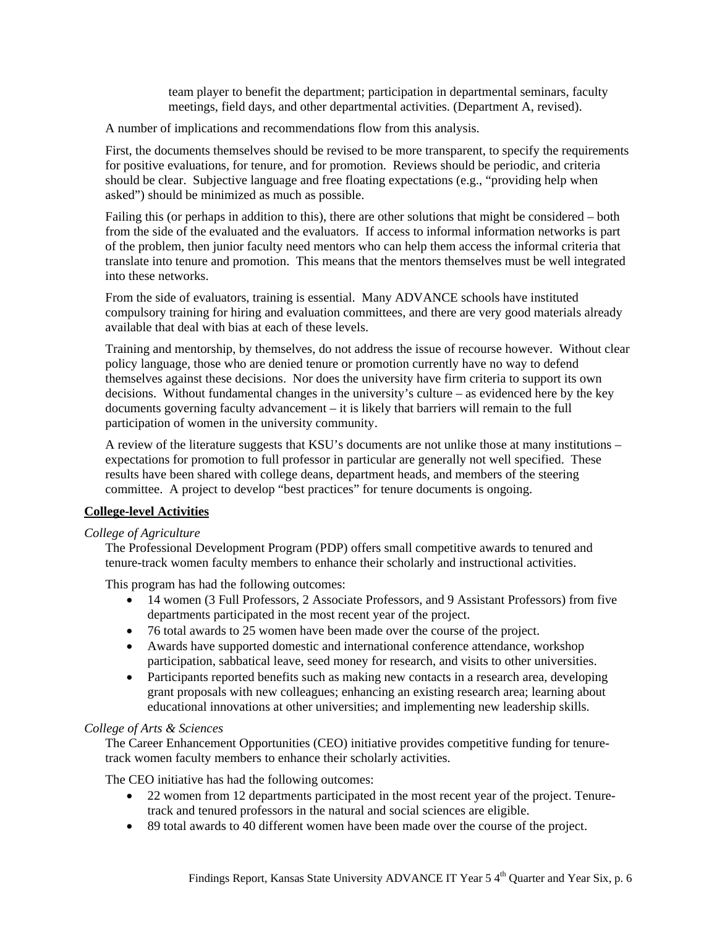team player to benefit the department; participation in departmental seminars, faculty meetings, field days, and other departmental activities. (Department A, revised).

A number of implications and recommendations flow from this analysis.

First, the documents themselves should be revised to be more transparent, to specify the requirements for positive evaluations, for tenure, and for promotion. Reviews should be periodic, and criteria should be clear. Subjective language and free floating expectations (e.g., "providing help when asked") should be minimized as much as possible.

Failing this (or perhaps in addition to this), there are other solutions that might be considered – both from the side of the evaluated and the evaluators. If access to informal information networks is part of the problem, then junior faculty need mentors who can help them access the informal criteria that translate into tenure and promotion. This means that the mentors themselves must be well integrated into these networks.

From the side of evaluators, training is essential. Many ADVANCE schools have instituted compulsory training for hiring and evaluation committees, and there are very good materials already available that deal with bias at each of these levels.

Training and mentorship, by themselves, do not address the issue of recourse however. Without clear policy language, those who are denied tenure or promotion currently have no way to defend themselves against these decisions. Nor does the university have firm criteria to support its own decisions. Without fundamental changes in the university's culture – as evidenced here by the key documents governing faculty advancement – it is likely that barriers will remain to the full participation of women in the university community.

A review of the literature suggests that KSU's documents are not unlike those at many institutions – expectations for promotion to full professor in particular are generally not well specified. These results have been shared with college deans, department heads, and members of the steering committee. A project to develop "best practices" for tenure documents is ongoing.

## **College-level Activities**

#### *College of Agriculture*

The Professional Development Program (PDP) offers small competitive awards to tenured and tenure-track women faculty members to enhance their scholarly and instructional activities.

This program has had the following outcomes:

- 14 women (3 Full Professors, 2 Associate Professors, and 9 Assistant Professors) from five departments participated in the most recent year of the project.
- 76 total awards to 25 women have been made over the course of the project.
- Awards have supported domestic and international conference attendance, workshop participation, sabbatical leave, seed money for research, and visits to other universities.
- Participants reported benefits such as making new contacts in a research area, developing grant proposals with new colleagues; enhancing an existing research area; learning about educational innovations at other universities; and implementing new leadership skills.

## *College of Arts & Sciences*

The Career Enhancement Opportunities (CEO) initiative provides competitive funding for tenuretrack women faculty members to enhance their scholarly activities.

The CEO initiative has had the following outcomes:

- 22 women from 12 departments participated in the most recent year of the project. Tenuretrack and tenured professors in the natural and social sciences are eligible.
- 89 total awards to 40 different women have been made over the course of the project.